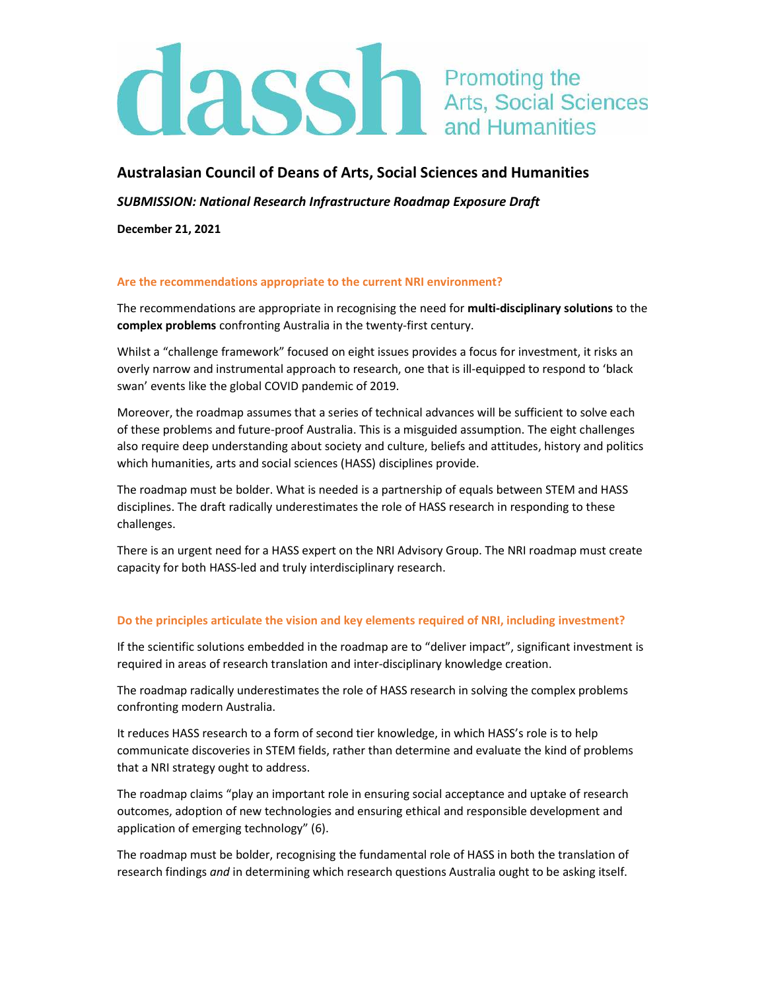# **CLASS** The Promoting the Arts, Social Sciences

## Australasian Council of Deans of Arts, Social Sciences and Humanities

SUBMISSION: National Research Infrastructure Roadmap Exposure Draft

December 21, 2021

### Are the recommendations appropriate to the current NRI environment?

The recommendations are appropriate in recognising the need for multi-disciplinary solutions to the complex problems confronting Australia in the twenty-first century.

Whilst a "challenge framework" focused on eight issues provides a focus for investment, it risks an overly narrow and instrumental approach to research, one that is ill-equipped to respond to 'black swan' events like the global COVID pandemic of 2019.

Moreover, the roadmap assumes that a series of technical advances will be sufficient to solve each of these problems and future-proof Australia. This is a misguided assumption. The eight challenges also require deep understanding about society and culture, beliefs and attitudes, history and politics which humanities, arts and social sciences (HASS) disciplines provide.

The roadmap must be bolder. What is needed is a partnership of equals between STEM and HASS disciplines. The draft radically underestimates the role of HASS research in responding to these challenges.

There is an urgent need for a HASS expert on the NRI Advisory Group. The NRI roadmap must create capacity for both HASS-led and truly interdisciplinary research.

### Do the principles articulate the vision and key elements required of NRI, including investment?

If the scientific solutions embedded in the roadmap are to "deliver impact", significant investment is required in areas of research translation and inter-disciplinary knowledge creation.

The roadmap radically underestimates the role of HASS research in solving the complex problems confronting modern Australia.

It reduces HASS research to a form of second tier knowledge, in which HASS's role is to help communicate discoveries in STEM fields, rather than determine and evaluate the kind of problems that a NRI strategy ought to address.

The roadmap claims "play an important role in ensuring social acceptance and uptake of research outcomes, adoption of new technologies and ensuring ethical and responsible development and application of emerging technology" (6).

The roadmap must be bolder, recognising the fundamental role of HASS in both the translation of research findings and in determining which research questions Australia ought to be asking itself.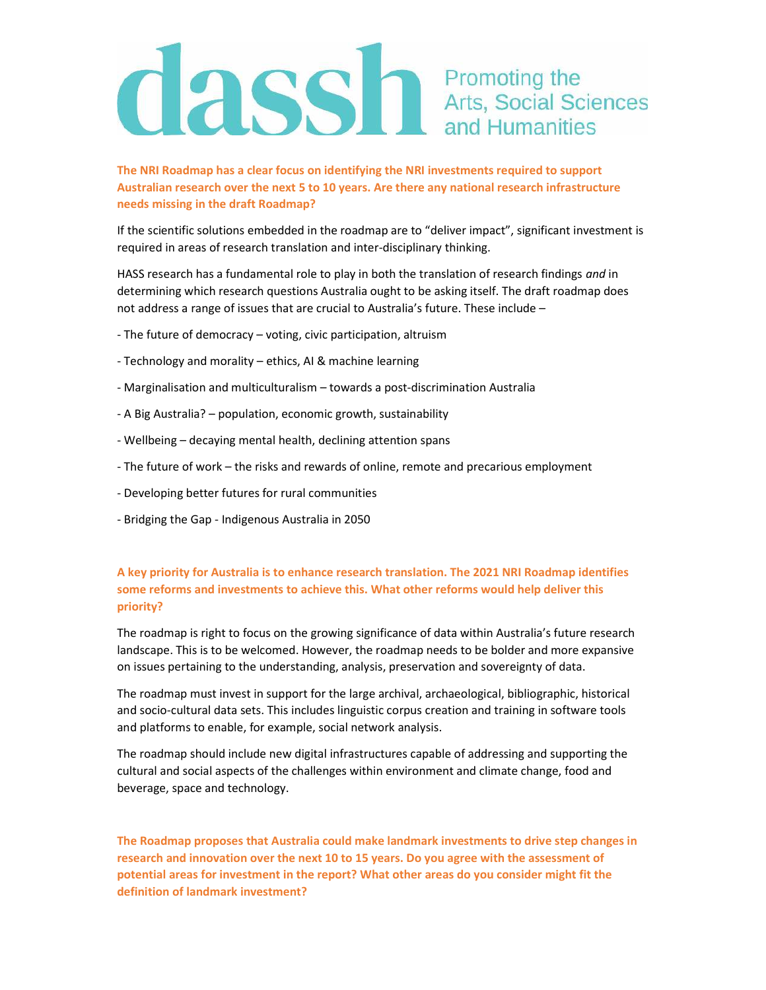# **CLASS** The Promoting the Arts, Social Sciences

The NRI Roadmap has a clear focus on identifying the NRI investments required to support Australian research over the next 5 to 10 years. Are there any national research infrastructure needs missing in the draft Roadmap?

If the scientific solutions embedded in the roadmap are to "deliver impact", significant investment is required in areas of research translation and inter-disciplinary thinking.

HASS research has a fundamental role to play in both the translation of research findings and in determining which research questions Australia ought to be asking itself. The draft roadmap does not address a range of issues that are crucial to Australia's future. These include –

- The future of democracy voting, civic participation, altruism
- Technology and morality ethics, AI & machine learning
- Marginalisation and multiculturalism towards a post-discrimination Australia
- A Big Australia? population, economic growth, sustainability
- Wellbeing decaying mental health, declining attention spans
- The future of work the risks and rewards of online, remote and precarious employment
- Developing better futures for rural communities
- Bridging the Gap Indigenous Australia in 2050

## A key priority for Australia is to enhance research translation. The 2021 NRI Roadmap identifies some reforms and investments to achieve this. What other reforms would help deliver this priority?

The roadmap is right to focus on the growing significance of data within Australia's future research landscape. This is to be welcomed. However, the roadmap needs to be bolder and more expansive on issues pertaining to the understanding, analysis, preservation and sovereignty of data.

The roadmap must invest in support for the large archival, archaeological, bibliographic, historical and socio-cultural data sets. This includes linguistic corpus creation and training in software tools and platforms to enable, for example, social network analysis.

The roadmap should include new digital infrastructures capable of addressing and supporting the cultural and social aspects of the challenges within environment and climate change, food and beverage, space and technology.

The Roadmap proposes that Australia could make landmark investments to drive step changes in research and innovation over the next 10 to 15 years. Do you agree with the assessment of potential areas for investment in the report? What other areas do you consider might fit the definition of landmark investment?